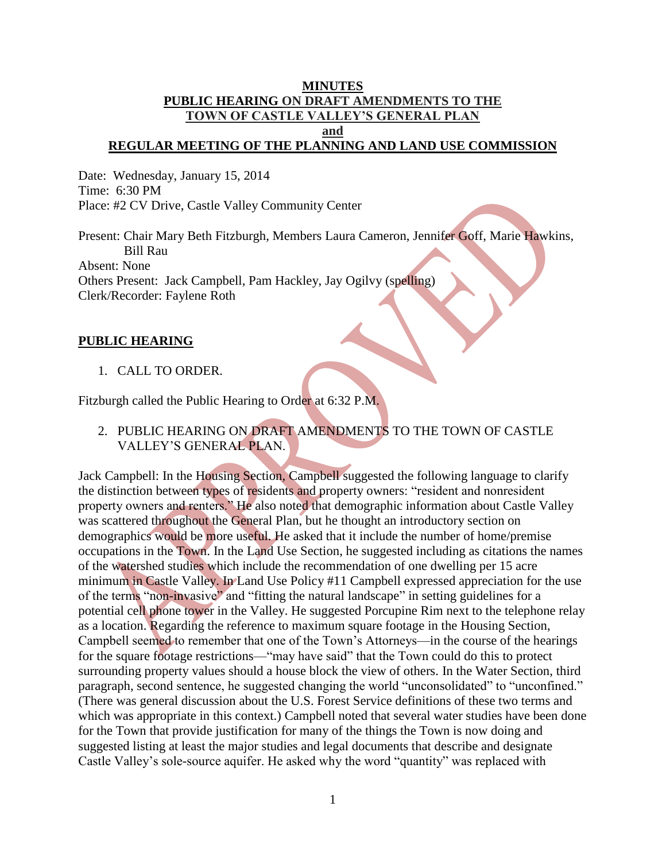#### **MINUTES PUBLIC HEARING ON DRAFT AMENDMENTS TO THE TOWN OF CASTLE VALLEY'S GENERAL PLAN and REGULAR MEETING OF THE PLANNING AND LAND USE COMMISSION**

Date: Wednesday, January 15, 2014 Time: 6:30 PM Place: #2 CV Drive, Castle Valley Community Center

Present: Chair Mary Beth Fitzburgh, Members Laura Cameron, Jennifer Goff, Marie Hawkins, Bill Rau Absent: None Others Present: Jack Campbell, Pam Hackley, Jay Ogilvy (spelling) Clerk/Recorder: Faylene Roth

#### **PUBLIC HEARING**

#### 1. CALL TO ORDER.

Fitzburgh called the Public Hearing to Order at 6:32 P.M.

2. PUBLIC HEARING ON DRAFT AMENDMENTS TO THE TOWN OF CASTLE VALLEY'S GENERAL PLAN.

Jack Campbell: In the Housing Section, Campbell suggested the following language to clarify the distinction between types of residents and property owners: "resident and nonresident property owners and renters." He also noted that demographic information about Castle Valley was scattered throughout the General Plan, but he thought an introductory section on demographics would be more useful. He asked that it include the number of home/premise occupations in the Town. In the Land Use Section, he suggested including as citations the names of the watershed studies which include the recommendation of one dwelling per 15 acre minimum in Castle Valley. In Land Use Policy #11 Campbell expressed appreciation for the use of the terms "non-invasive" and "fitting the natural landscape" in setting guidelines for a potential cell phone tower in the Valley. He suggested Porcupine Rim next to the telephone relay as a location. Regarding the reference to maximum square footage in the Housing Section, Campbell seemed to remember that one of the Town's Attorneys—in the course of the hearings for the square footage restrictions—"may have said" that the Town could do this to protect surrounding property values should a house block the view of others. In the Water Section, third paragraph, second sentence, he suggested changing the world "unconsolidated" to "unconfined." (There was general discussion about the U.S. Forest Service definitions of these two terms and which was appropriate in this context.) Campbell noted that several water studies have been done for the Town that provide justification for many of the things the Town is now doing and suggested listing at least the major studies and legal documents that describe and designate Castle Valley's sole-source aquifer. He asked why the word "quantity" was replaced with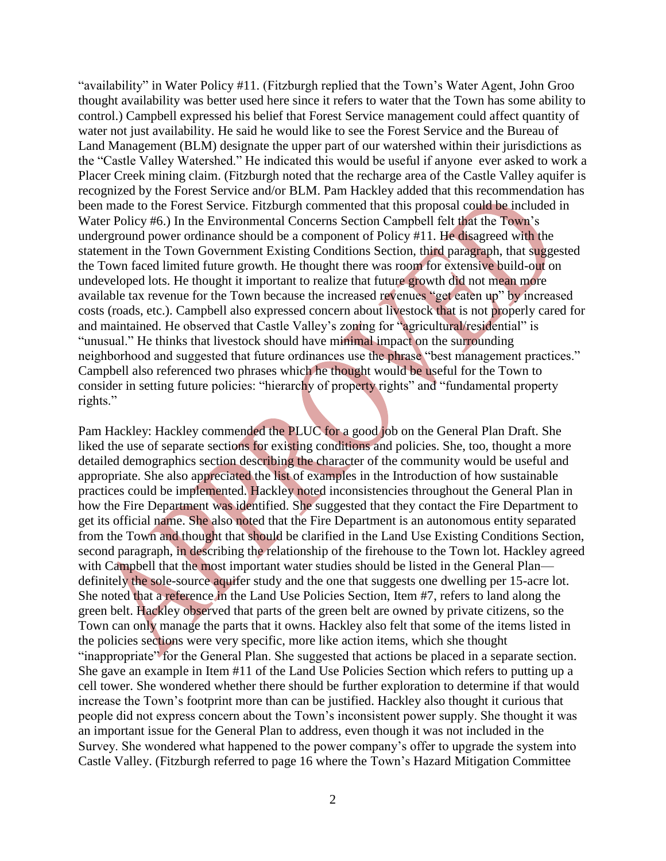"availability" in Water Policy #11. (Fitzburgh replied that the Town's Water Agent, John Groo thought availability was better used here since it refers to water that the Town has some ability to control.) Campbell expressed his belief that Forest Service management could affect quantity of water not just availability. He said he would like to see the Forest Service and the Bureau of Land Management (BLM) designate the upper part of our watershed within their jurisdictions as the "Castle Valley Watershed." He indicated this would be useful if anyone ever asked to work a Placer Creek mining claim. (Fitzburgh noted that the recharge area of the Castle Valley aquifer is recognized by the Forest Service and/or BLM. Pam Hackley added that this recommendation has been made to the Forest Service. Fitzburgh commented that this proposal could be included in Water Policy #6.) In the Environmental Concerns Section Campbell felt that the Town's underground power ordinance should be a component of Policy #11. He disagreed with the statement in the Town Government Existing Conditions Section, third paragraph, that suggested the Town faced limited future growth. He thought there was room for extensive build-out on undeveloped lots. He thought it important to realize that future growth did not mean more available tax revenue for the Town because the increased revenues "get eaten up" by increased costs (roads, etc.). Campbell also expressed concern about livestock that is not properly cared for and maintained. He observed that Castle Valley's zoning for "agricultural/residential" is "unusual." He thinks that livestock should have minimal impact on the surrounding neighborhood and suggested that future ordinances use the phrase "best management practices." Campbell also referenced two phrases which he thought would be useful for the Town to consider in setting future policies: "hierarchy of property rights" and "fundamental property rights."

Pam Hackley: Hackley commended the PLUC for a good job on the General Plan Draft. She liked the use of separate sections for existing conditions and policies. She, too, thought a more detailed demographics section describing the character of the community would be useful and appropriate. She also appreciated the list of examples in the Introduction of how sustainable practices could be implemented. Hackley noted inconsistencies throughout the General Plan in how the Fire Department was identified. She suggested that they contact the Fire Department to get its official name. She also noted that the Fire Department is an autonomous entity separated from the Town and thought that should be clarified in the Land Use Existing Conditions Section, second paragraph, in describing the relationship of the firehouse to the Town lot. Hackley agreed with Campbell that the most important water studies should be listed in the General Plan definitely the sole-source aquifer study and the one that suggests one dwelling per 15-acre lot. She noted that a reference in the Land Use Policies Section, Item #7, refers to land along the green belt. Hackley observed that parts of the green belt are owned by private citizens, so the Town can only manage the parts that it owns. Hackley also felt that some of the items listed in the policies sections were very specific, more like action items, which she thought "inappropriate" for the General Plan. She suggested that actions be placed in a separate section. She gave an example in Item #11 of the Land Use Policies Section which refers to putting up a cell tower. She wondered whether there should be further exploration to determine if that would increase the Town's footprint more than can be justified. Hackley also thought it curious that people did not express concern about the Town's inconsistent power supply. She thought it was an important issue for the General Plan to address, even though it was not included in the Survey. She wondered what happened to the power company's offer to upgrade the system into Castle Valley. (Fitzburgh referred to page 16 where the Town's Hazard Mitigation Committee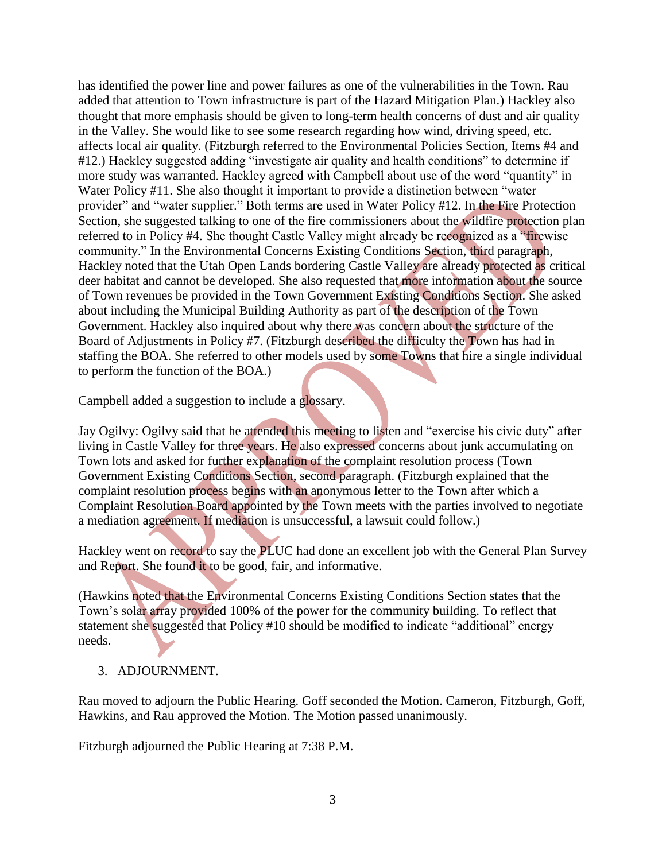has identified the power line and power failures as one of the vulnerabilities in the Town. Rau added that attention to Town infrastructure is part of the Hazard Mitigation Plan.) Hackley also thought that more emphasis should be given to long-term health concerns of dust and air quality in the Valley. She would like to see some research regarding how wind, driving speed, etc. affects local air quality. (Fitzburgh referred to the Environmental Policies Section, Items #4 and #12.) Hackley suggested adding "investigate air quality and health conditions" to determine if more study was warranted. Hackley agreed with Campbell about use of the word "quantity" in Water Policy #11. She also thought it important to provide a distinction between "water provider" and "water supplier." Both terms are used in Water Policy #12. In the Fire Protection Section, she suggested talking to one of the fire commissioners about the wildfire protection plan referred to in Policy #4. She thought Castle Valley might already be recognized as a "firewise community." In the Environmental Concerns Existing Conditions Section, third paragraph, Hackley noted that the Utah Open Lands bordering Castle Valley are already protected as critical deer habitat and cannot be developed. She also requested that more information about the source of Town revenues be provided in the Town Government Existing Conditions Section. She asked about including the Municipal Building Authority as part of the description of the Town Government. Hackley also inquired about why there was concern about the structure of the Board of Adjustments in Policy #7. (Fitzburgh described the difficulty the Town has had in staffing the BOA. She referred to other models used by some Towns that hire a single individual to perform the function of the BOA.)

Campbell added a suggestion to include a glossary.

Jay Ogilvy: Ogilvy said that he attended this meeting to listen and "exercise his civic duty" after living in Castle Valley for three years. He also expressed concerns about junk accumulating on Town lots and asked for further explanation of the complaint resolution process (Town Government Existing Conditions Section, second paragraph. (Fitzburgh explained that the complaint resolution process begins with an anonymous letter to the Town after which a Complaint Resolution Board appointed by the Town meets with the parties involved to negotiate a mediation agreement. If mediation is unsuccessful, a lawsuit could follow.)

Hackley went on record to say the PLUC had done an excellent job with the General Plan Survey and Report. She found it to be good, fair, and informative.

(Hawkins noted that the Environmental Concerns Existing Conditions Section states that the Town's solar array provided 100% of the power for the community building. To reflect that statement she suggested that Policy #10 should be modified to indicate "additional" energy needs.

# 3. ADJOURNMENT.

Rau moved to adjourn the Public Hearing. Goff seconded the Motion. Cameron, Fitzburgh, Goff, Hawkins, and Rau approved the Motion. The Motion passed unanimously.

Fitzburgh adjourned the Public Hearing at 7:38 P.M.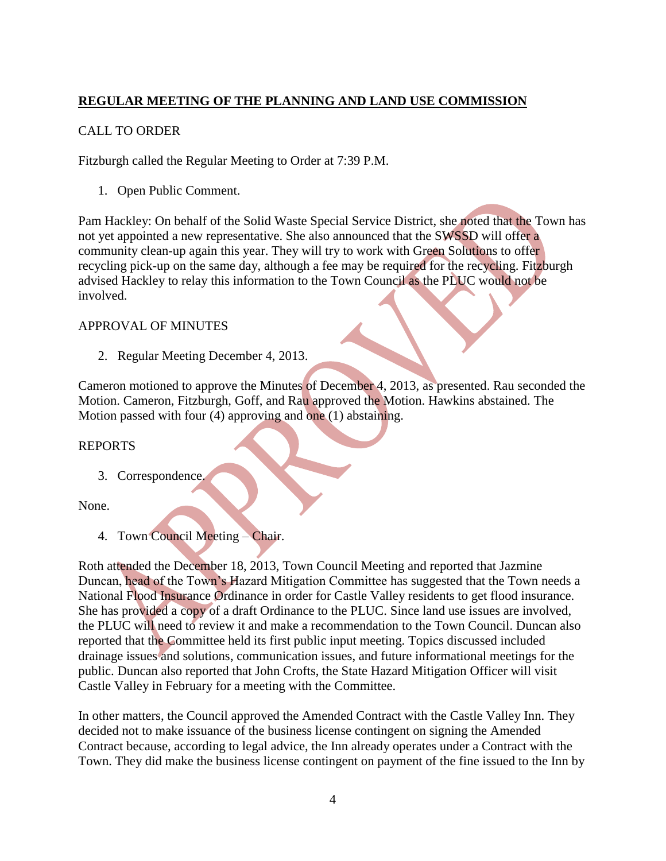# **REGULAR MEETING OF THE PLANNING AND LAND USE COMMISSION**

# CALL TO ORDER

Fitzburgh called the Regular Meeting to Order at 7:39 P.M.

1. Open Public Comment.

Pam Hackley: On behalf of the Solid Waste Special Service District, she noted that the Town has not yet appointed a new representative. She also announced that the SWSSD will offer a community clean-up again this year. They will try to work with Green Solutions to offer recycling pick-up on the same day, although a fee may be required for the recycling. Fitzburgh advised Hackley to relay this information to the Town Council as the PLUC would not be involved.

## APPROVAL OF MINUTES

2. Regular Meeting December 4, 2013.

Cameron motioned to approve the Minutes of December 4, 2013, as presented. Rau seconded the Motion. Cameron, Fitzburgh, Goff, and Rau approved the Motion. Hawkins abstained. The Motion passed with four (4) approving and one (1) abstaining.

#### REPORTS

3. Correspondence.

None.

4. Town Council Meeting – Chair.

Roth attended the December 18, 2013, Town Council Meeting and reported that Jazmine Duncan, head of the Town's Hazard Mitigation Committee has suggested that the Town needs a National Flood Insurance Ordinance in order for Castle Valley residents to get flood insurance. She has provided a copy of a draft Ordinance to the PLUC. Since land use issues are involved, the PLUC will need to review it and make a recommendation to the Town Council. Duncan also reported that the Committee held its first public input meeting. Topics discussed included drainage issues and solutions, communication issues, and future informational meetings for the public. Duncan also reported that John Crofts, the State Hazard Mitigation Officer will visit Castle Valley in February for a meeting with the Committee.

In other matters, the Council approved the Amended Contract with the Castle Valley Inn. They decided not to make issuance of the business license contingent on signing the Amended Contract because, according to legal advice, the Inn already operates under a Contract with the Town. They did make the business license contingent on payment of the fine issued to the Inn by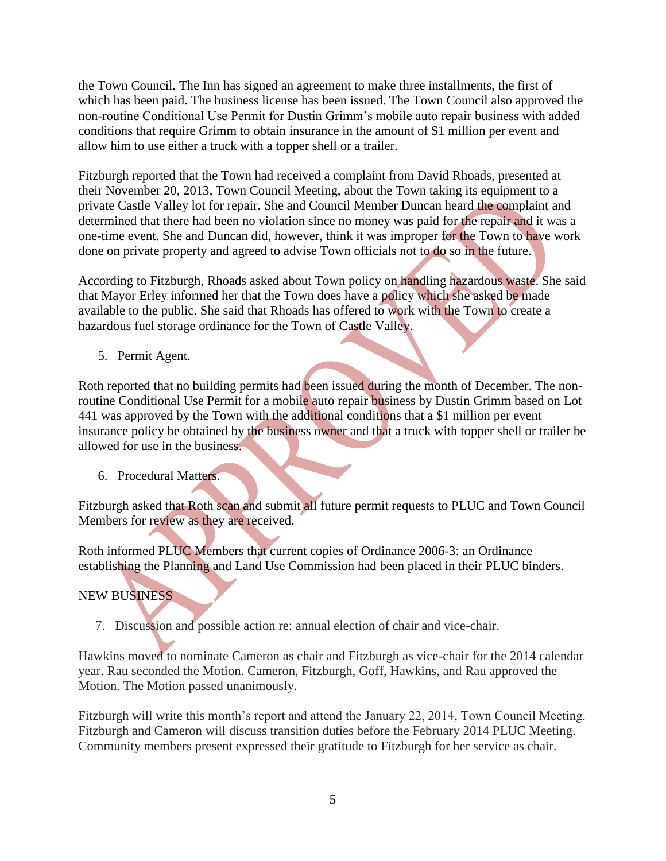the Town Council. The Inn has signed an agreement to make three installments, the first of which has been paid. The business license has been issued. The Town Council also approved the non-routine Conditional Use Permit for Dustin Grimm's mobile auto repair business with added conditions that require Grimm to obtain insurance in the amount of \$1 million per event and allow him to use either a truck with a topper shell or a trailer.

Fitzburgh reported that the Town had received a complaint from David Rhoads, presented at their November 20, 2013, Town Council Meeting, about the Town taking its equipment to a private Castle Valley lot for repair. She and Council Member Duncan heard the complaint and determined that there had been no violation since no money was paid for the repair and it was a one-time event. She and Duncan did, however, think it was improper for the Town to have work done on private property and agreed to advise Town officials not to do so in the future.

According to Fitzburgh, Rhoads asked about Town policy on handling hazardous waste. She said that Mayor Erley informed her that the Town does have a policy which she asked be made available to the public. She said that Rhoads has offered to work with the Town to create a hazardous fuel storage ordinance for the Town of Castle Valley.

5. Permit Agent.

Roth reported that no building permits had been issued during the month of December. The nonroutine Conditional Use Permit for a mobile auto repair business by Dustin Grimm based on Lot 441 was approved by the Town with the additional conditions that a \$1 million per event insurance policy be obtained by the business owner and that a truck with topper shell or trailer be allowed for use in the business.

6. Procedural Matters.

Fitzburgh asked that Roth scan and submit all future permit requests to PLUC and Town Council Members for review as they are received.

Roth informed PLUC Members that current copies of Ordinance 2006-3: an Ordinance establishing the Planning and Land Use Commission had been placed in their PLUC binders.

# NEW BUSINESS

7. Discussion and possible action re: annual election of chair and vice-chair.

Hawkins moved to nominate Cameron as chair and Fitzburgh as vice-chair for the 2014 calendar year. Rau seconded the Motion. Cameron, Fitzburgh, Goff, Hawkins, and Rau approved the Motion. The Motion passed unanimously.

Fitzburgh will write this month's report and attend the January 22, 2014, Town Council Meeting. Fitzburgh and Cameron will discuss transition duties before the February 2014 PLUC Meeting. Community members present expressed their gratitude to Fitzburgh for her service as chair.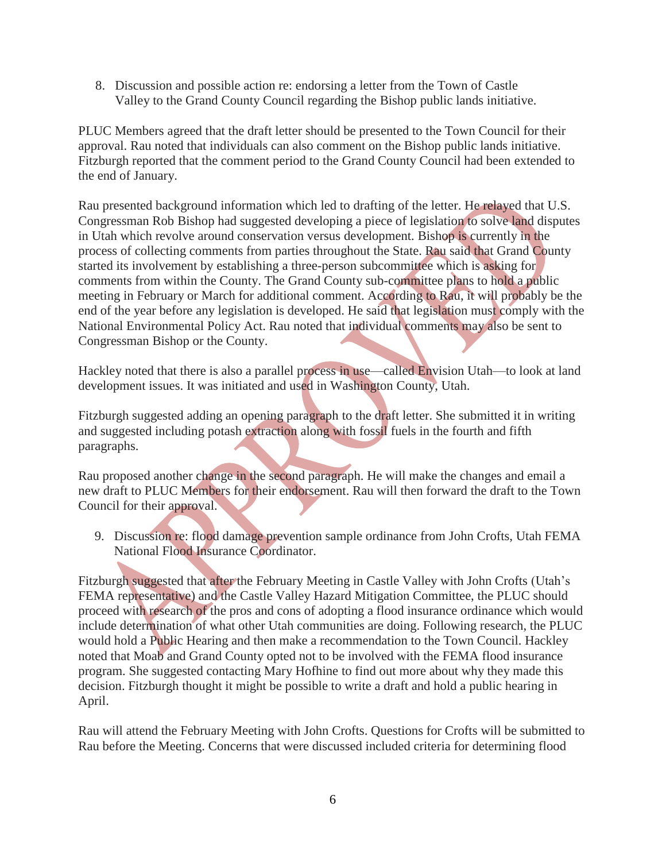8. Discussion and possible action re: endorsing a letter from the Town of Castle Valley to the Grand County Council regarding the Bishop public lands initiative.

PLUC Members agreed that the draft letter should be presented to the Town Council for their approval. Rau noted that individuals can also comment on the Bishop public lands initiative. Fitzburgh reported that the comment period to the Grand County Council had been extended to the end of January.

Rau presented background information which led to drafting of the letter. He relayed that U.S. Congressman Rob Bishop had suggested developing a piece of legislation to solve land disputes in Utah which revolve around conservation versus development. Bishop is currently in the process of collecting comments from parties throughout the State. Rau said that Grand County started its involvement by establishing a three-person subcommittee which is asking for comments from within the County. The Grand County sub-committee plans to hold a public meeting in February or March for additional comment. According to Rau, it will probably be the end of the year before any legislation is developed. He said that legislation must comply with the National Environmental Policy Act. Rau noted that individual comments may also be sent to Congressman Bishop or the County.

Hackley noted that there is also a parallel process in use—called Envision Utah—to look at land development issues. It was initiated and used in Washington County, Utah.

Fitzburgh suggested adding an opening paragraph to the draft letter. She submitted it in writing and suggested including potash extraction along with fossil fuels in the fourth and fifth paragraphs.

Rau proposed another change in the second paragraph. He will make the changes and email a new draft to PLUC Members for their endorsement. Rau will then forward the draft to the Town Council for their approval.

 9. Discussion re: flood damage prevention sample ordinance from John Crofts, Utah FEMA National Flood Insurance Coordinator.

Fitzburgh suggested that after the February Meeting in Castle Valley with John Crofts (Utah's FEMA representative) and the Castle Valley Hazard Mitigation Committee, the PLUC should proceed with research of the pros and cons of adopting a flood insurance ordinance which would include determination of what other Utah communities are doing. Following research, the PLUC would hold a Public Hearing and then make a recommendation to the Town Council. Hackley noted that Moab and Grand County opted not to be involved with the FEMA flood insurance program. She suggested contacting Mary Hofhine to find out more about why they made this decision. Fitzburgh thought it might be possible to write a draft and hold a public hearing in April.

Rau will attend the February Meeting with John Crofts. Questions for Crofts will be submitted to Rau before the Meeting. Concerns that were discussed included criteria for determining flood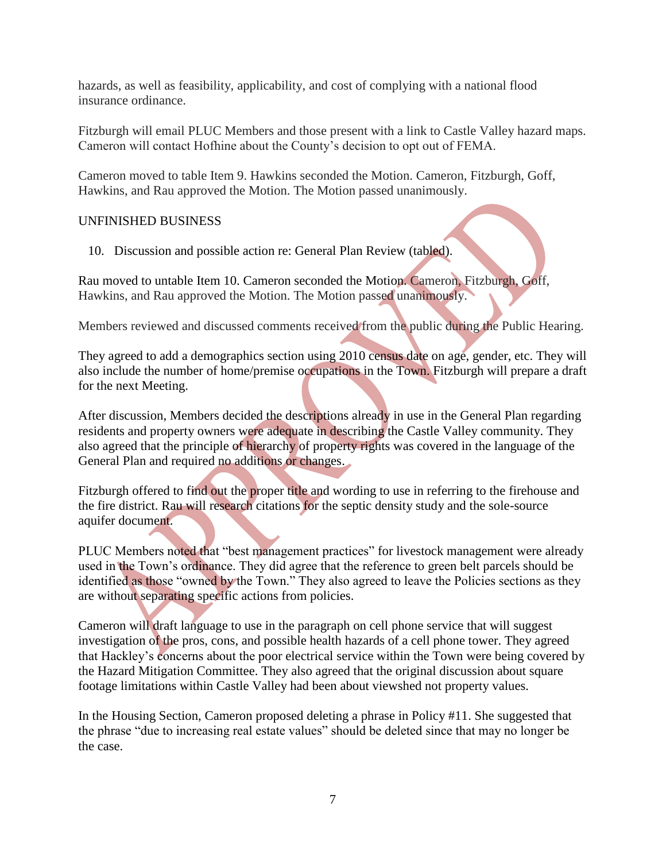hazards, as well as feasibility, applicability, and cost of complying with a national flood insurance ordinance.

Fitzburgh will email PLUC Members and those present with a link to Castle Valley hazard maps. Cameron will contact Hofhine about the County's decision to opt out of FEMA.

Cameron moved to table Item 9. Hawkins seconded the Motion. Cameron, Fitzburgh, Goff, Hawkins, and Rau approved the Motion. The Motion passed unanimously.

# UNFINISHED BUSINESS

10. Discussion and possible action re: General Plan Review (tabled).

Rau moved to untable Item 10. Cameron seconded the Motion. Cameron, Fitzburgh, Goff, Hawkins, and Rau approved the Motion. The Motion passed unanimously.

Members reviewed and discussed comments received from the public during the Public Hearing.

They agreed to add a demographics section using 2010 census date on age, gender, etc. They will also include the number of home/premise occupations in the Town. Fitzburgh will prepare a draft for the next Meeting.

After discussion, Members decided the descriptions already in use in the General Plan regarding residents and property owners were adequate in describing the Castle Valley community. They also agreed that the principle of hierarchy of property rights was covered in the language of the General Plan and required no additions or changes.

Fitzburgh offered to find out the proper title and wording to use in referring to the firehouse and the fire district. Rau will research citations for the septic density study and the sole-source aquifer document.

PLUC Members noted that "best management practices" for livestock management were already used in the Town's ordinance. They did agree that the reference to green belt parcels should be identified as those "owned by the Town." They also agreed to leave the Policies sections as they are without separating specific actions from policies.

Cameron will draft language to use in the paragraph on cell phone service that will suggest investigation of the pros, cons, and possible health hazards of a cell phone tower. They agreed that Hackley's concerns about the poor electrical service within the Town were being covered by the Hazard Mitigation Committee. They also agreed that the original discussion about square footage limitations within Castle Valley had been about viewshed not property values.

In the Housing Section, Cameron proposed deleting a phrase in Policy #11. She suggested that the phrase "due to increasing real estate values" should be deleted since that may no longer be the case.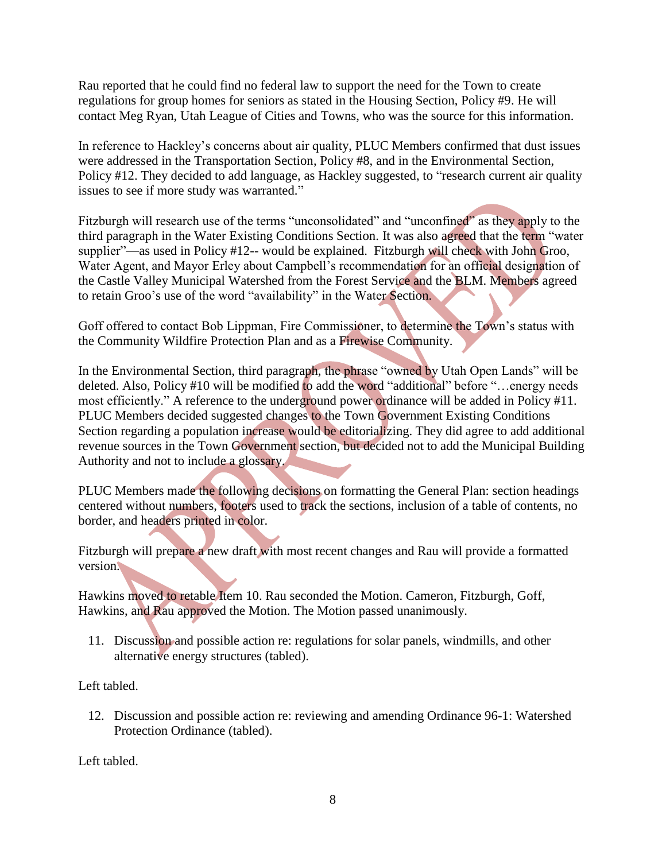Rau reported that he could find no federal law to support the need for the Town to create regulations for group homes for seniors as stated in the Housing Section, Policy #9. He will contact Meg Ryan, Utah League of Cities and Towns, who was the source for this information.

In reference to Hackley's concerns about air quality, PLUC Members confirmed that dust issues were addressed in the Transportation Section, Policy #8, and in the Environmental Section, Policy #12. They decided to add language, as Hackley suggested, to "research current air quality issues to see if more study was warranted."

Fitzburgh will research use of the terms "unconsolidated" and "unconfined" as they apply to the third paragraph in the Water Existing Conditions Section. It was also agreed that the term "water supplier"—as used in Policy #12-- would be explained. Fitzburgh will check with John Groo, Water Agent, and Mayor Erley about Campbell's recommendation for an official designation of the Castle Valley Municipal Watershed from the Forest Service and the BLM. Members agreed to retain Groo's use of the word "availability" in the Water Section.

Goff offered to contact Bob Lippman, Fire Commissioner, to determine the Town's status with the Community Wildfire Protection Plan and as a Firewise Community.

In the Environmental Section, third paragraph, the phrase "owned by Utah Open Lands" will be deleted. Also, Policy #10 will be modified to add the word "additional" before "…energy needs most efficiently." A reference to the underground power ordinance will be added in Policy #11. PLUC Members decided suggested changes to the Town Government Existing Conditions Section regarding a population increase would be editorializing. They did agree to add additional revenue sources in the Town Government section, but decided not to add the Municipal Building Authority and not to include a glossary.

PLUC Members made the following decisions on formatting the General Plan: section headings centered without numbers, footers used to track the sections, inclusion of a table of contents, no border, and headers printed in color.

Fitzburgh will prepare a new draft with most recent changes and Rau will provide a formatted version.

Hawkins moved to retable Item 10. Rau seconded the Motion. Cameron, Fitzburgh, Goff, Hawkins, and Rau approved the Motion. The Motion passed unanimously.

 11. Discussion and possible action re: regulations for solar panels, windmills, and other alternative energy structures (tabled).

Left tabled.

 12. Discussion and possible action re: reviewing and amending Ordinance 96-1: Watershed Protection Ordinance (tabled).

Left tabled.